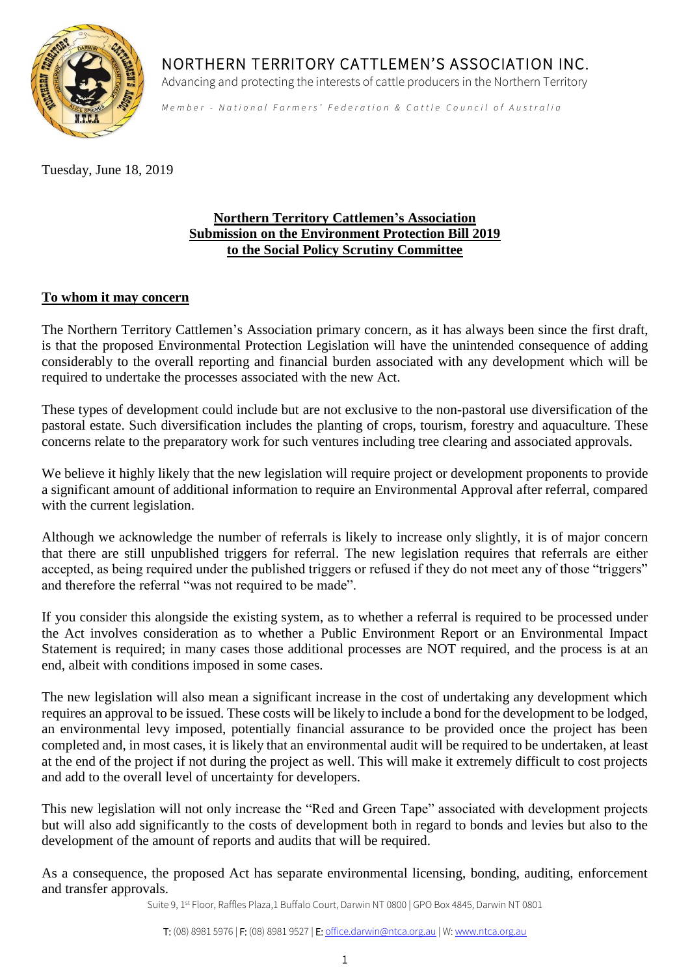

NORTHERN TERRITORY CATTLEMEN'S ASSOCIATION INC.

Advancing and protecting the interests of cattle producers in the Northern Territory

*Member - National Farmers' Federation & Cattle Council of Australia* 

Tuesday, June 18, 2019

## **Northern Territory Cattlemen's Association Submission on the Environment Protection Bill 2019 to the Social Policy Scrutiny Committee**

## **To whom it may concern**

The Northern Territory Cattlemen's Association primary concern, as it has always been since the first draft, is that the proposed Environmental Protection Legislation will have the unintended consequence of adding considerably to the overall reporting and financial burden associated with any development which will be required to undertake the processes associated with the new Act.

These types of development could include but are not exclusive to the non-pastoral use diversification of the pastoral estate. Such diversification includes the planting of crops, tourism, forestry and aquaculture. These concerns relate to the preparatory work for such ventures including tree clearing and associated approvals.

We believe it highly likely that the new legislation will require project or development proponents to provide a significant amount of additional information to require an Environmental Approval after referral, compared with the current legislation.

Although we acknowledge the number of referrals is likely to increase only slightly, it is of major concern that there are still unpublished triggers for referral. The new legislation requires that referrals are either accepted, as being required under the published triggers or refused if they do not meet any of those "triggers" and therefore the referral "was not required to be made".

If you consider this alongside the existing system, as to whether a referral is required to be processed under the Act involves consideration as to whether a Public Environment Report or an Environmental Impact Statement is required; in many cases those additional processes are NOT required, and the process is at an end, albeit with conditions imposed in some cases.

The new legislation will also mean a significant increase in the cost of undertaking any development which requires an approval to be issued. These costs will be likely to include a bond for the development to be lodged, an environmental levy imposed, potentially financial assurance to be provided once the project has been completed and, in most cases, it is likely that an environmental audit will be required to be undertaken, at least at the end of the project if not during the project as well. This will make it extremely difficult to cost projects and add to the overall level of uncertainty for developers.

This new legislation will not only increase the "Red and Green Tape" associated with development projects but will also add significantly to the costs of development both in regard to bonds and levies but also to the development of the amount of reports and audits that will be required.

As a consequence, the proposed Act has separate environmental licensing, bonding, auditing, enforcement and transfer approvals.

Suite 9, 1<sup>st</sup> Floor, Raffles Plaza,1 Buffalo Court, Darwin NT 0800 | GPO Box 4845, Darwin NT 0801